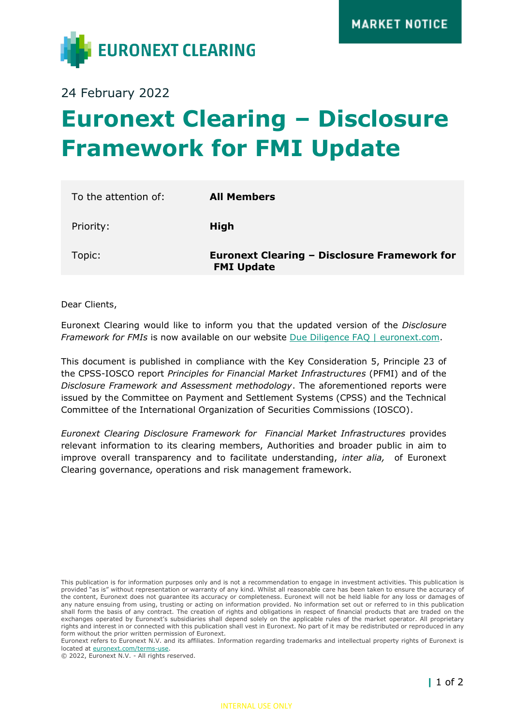

24 February 2022

## **Euronext Clearing – Disclosure Framework for FMI Update**

| To the attention of: | <b>All Members</b>                                                       |
|----------------------|--------------------------------------------------------------------------|
| Priority:            | High                                                                     |
| Topic:               | <b>Euronext Clearing - Disclosure Framework for</b><br><b>FMI Update</b> |

Dear Clients,

Euronext Clearing would like to inform you that the updated version of the *Disclosure Framework for FMIs* is now available on our website [Due Diligence FAQ | euronext.com.](https://www.euronext.com/en/post-trade/euronext-clearing/about/due-diligence-faq)

This document is published in compliance with the Key Consideration 5, Principle 23 of the CPSS-IOSCO report *Principles for Financial Market Infrastructures* (PFMI) and of the *Disclosure Framework and Assessment methodology*. The aforementioned reports were issued by the Committee on Payment and Settlement Systems (CPSS) and the Technical Committee of the International Organization of Securities Commissions (IOSCO).

*Euronext Clearing Disclosure Framework for Financial Market Infrastructures* provides relevant information to its clearing members, Authorities and broader public in aim to improve overall transparency and to facilitate understanding, *inter alia,* of Euronext Clearing governance, operations and risk management framework.

© 2022, Euronext N.V. - All rights reserved.

This publication is for information purposes only and is not a recommendation to engage in investment activities. This publication is provided "as is" without representation or warranty of any kind. Whilst all reasonable care has been taken to ensure the accuracy of the content, Euronext does not guarantee its accuracy or completeness. Euronext will not be held liable for any loss or damages of any nature ensuing from using, trusting or acting on information provided. No information set out or referred to in this publication shall form the basis of any contract. The creation of rights and obligations in respect of financial products that are traded on the exchanges operated by Euronext's subsidiaries shall depend solely on the applicable rules of the market operator. All proprietary rights and interest in or connected with this publication shall vest in Euronext. No part of it may be redistributed or reproduced in any form without the prior written permission of Euronext.

Euronext refers to Euronext N.V. and its affiliates. Information regarding trademarks and intellectual property rights of Euronext is located at [euronext.com/terms-use.](https://www.euronext.com/terms-use)